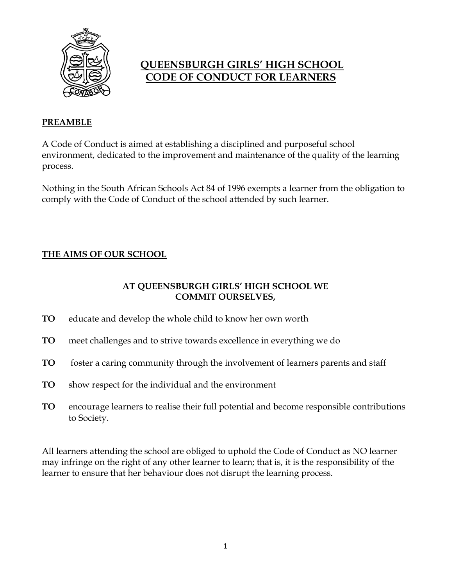

# **QUEENSBURGH GIRLS' HIGH SCHOOL CODE OF CONDUCT FOR LEARNERS**

## **PREAMBLE**

A Code of Conduct is aimed at establishing a disciplined and purposeful school environment, dedicated to the improvement and maintenance of the quality of the learning process.

Nothing in the South African Schools Act 84 of 1996 exempts a learner from the obligation to comply with the Code of Conduct of the school attended by such learner.

# **THE AIMS OF OUR SCHOOL**

## **AT QUEENSBURGH GIRLS' HIGH SCHOOL WE COMMIT OURSELVES,**

- **TO** educate and develop the whole child to know her own worth
- **TO** meet challenges and to strive towards excellence in everything we do
- **TO** foster a caring community through the involvement of learners parents and staff
- **TO** show respect for the individual and the environment
- **TO** encourage learners to realise their full potential and become responsible contributions to Society.

All learners attending the school are obliged to uphold the Code of Conduct as NO learner may infringe on the right of any other learner to learn; that is, it is the responsibility of the learner to ensure that her behaviour does not disrupt the learning process.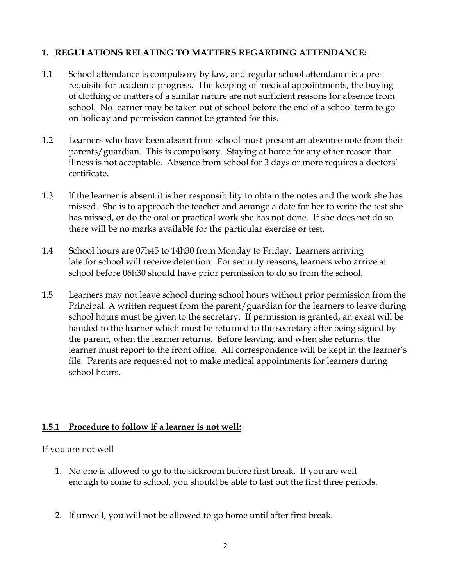## **1. REGULATIONS RELATING TO MATTERS REGARDING ATTENDANCE:**

- 1.1 School attendance is compulsory by law, and regular school attendance is a prerequisite for academic progress. The keeping of medical appointments, the buying of clothing or matters of a similar nature are not sufficient reasons for absence from school. No learner may be taken out of school before the end of a school term to go on holiday and permission cannot be granted for this.
- 1.2 Learners who have been absent from school must present an absentee note from their parents/guardian. This is compulsory. Staying at home for any other reason than illness is not acceptable. Absence from school for 3 days or more requires a doctors' certificate.
- 1.3 If the learner is absent it is her responsibility to obtain the notes and the work she has missed. She is to approach the teacher and arrange a date for her to write the test she has missed, or do the oral or practical work she has not done. If she does not do so there will be no marks available for the particular exercise or test.
- 1.4 School hours are 07h45 to 14h30 from Monday to Friday. Learners arriving late for school will receive detention. For security reasons, learners who arrive at school before 06h30 should have prior permission to do so from the school.
- 1.5 Learners may not leave school during school hours without prior permission from the Principal. A written request from the parent/guardian for the learners to leave during school hours must be given to the secretary. If permission is granted, an exeat will be handed to the learner which must be returned to the secretary after being signed by the parent, when the learner returns. Before leaving, and when she returns, the learner must report to the front office. All correspondence will be kept in the learner's file. Parents are requested not to make medical appointments for learners during school hours.

### **1.5.1 Procedure to follow if a learner is not well:**

If you are not well

- 1. No one is allowed to go to the sickroom before first break. If you are well enough to come to school, you should be able to last out the first three periods.
- 2. If unwell, you will not be allowed to go home until after first break.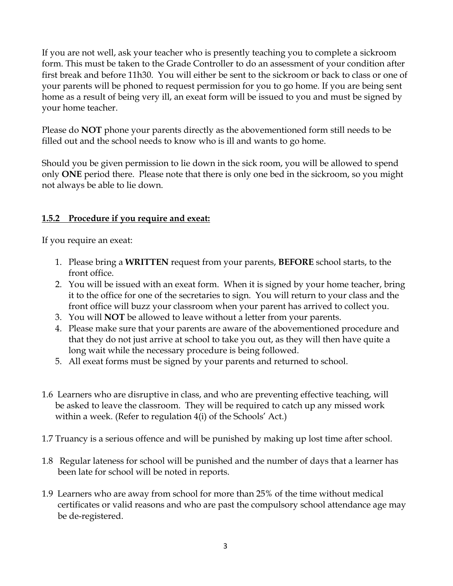If you are not well, ask your teacher who is presently teaching you to complete a sickroom form. This must be taken to the Grade Controller to do an assessment of your condition after first break and before 11h30. You will either be sent to the sickroom or back to class or one of your parents will be phoned to request permission for you to go home. If you are being sent home as a result of being very ill, an exeat form will be issued to you and must be signed by your home teacher.

Please do **NOT** phone your parents directly as the abovementioned form still needs to be filled out and the school needs to know who is ill and wants to go home.

Should you be given permission to lie down in the sick room, you will be allowed to spend only **ONE** period there. Please note that there is only one bed in the sickroom, so you might not always be able to lie down.

## **1.5.2 Procedure if you require and exeat:**

If you require an exeat:

- 1. Please bring a **WRITTEN** request from your parents, **BEFORE** school starts, to the front office.
- 2. You will be issued with an exeat form. When it is signed by your home teacher, bring it to the office for one of the secretaries to sign. You will return to your class and the front office will buzz your classroom when your parent has arrived to collect you.
- 3. You will **NOT** be allowed to leave without a letter from your parents.
- 4. Please make sure that your parents are aware of the abovementioned procedure and that they do not just arrive at school to take you out, as they will then have quite a long wait while the necessary procedure is being followed.
- 5. All exeat forms must be signed by your parents and returned to school.
- 1.6 Learners who are disruptive in class, and who are preventing effective teaching, will be asked to leave the classroom. They will be required to catch up any missed work within a week. (Refer to regulation 4(i) of the Schools' Act.)
- 1.7 Truancy is a serious offence and will be punished by making up lost time after school.
- 1.8 Regular lateness for school will be punished and the number of days that a learner has been late for school will be noted in reports.
- 1.9 Learners who are away from school for more than 25% of the time without medical certificates or valid reasons and who are past the compulsory school attendance age may be de-registered.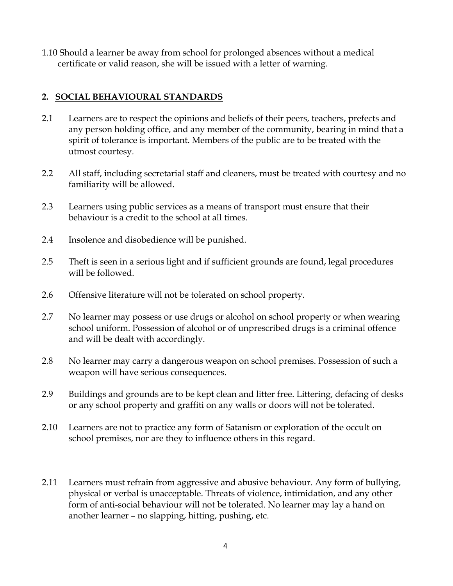1.10 Should a learner be away from school for prolonged absences without a medical certificate or valid reason, she will be issued with a letter of warning.

### **2. SOCIAL BEHAVIOURAL STANDARDS**

- 2.1 Learners are to respect the opinions and beliefs of their peers, teachers, prefects and any person holding office, and any member of the community, bearing in mind that a spirit of tolerance is important. Members of the public are to be treated with the utmost courtesy.
- 2.2 All staff, including secretarial staff and cleaners, must be treated with courtesy and no familiarity will be allowed.
- 2.3 Learners using public services as a means of transport must ensure that their behaviour is a credit to the school at all times.
- 2.4 Insolence and disobedience will be punished.
- 2.5 Theft is seen in a serious light and if sufficient grounds are found, legal procedures will be followed.
- 2.6 Offensive literature will not be tolerated on school property.
- 2.7 No learner may possess or use drugs or alcohol on school property or when wearing school uniform. Possession of alcohol or of unprescribed drugs is a criminal offence and will be dealt with accordingly.
- 2.8 No learner may carry a dangerous weapon on school premises. Possession of such a weapon will have serious consequences.
- 2.9 Buildings and grounds are to be kept clean and litter free. Littering, defacing of desks or any school property and graffiti on any walls or doors will not be tolerated.
- 2.10 Learners are not to practice any form of Satanism or exploration of the occult on school premises, nor are they to influence others in this regard.
- 2.11 Learners must refrain from aggressive and abusive behaviour. Any form of bullying, physical or verbal is unacceptable. Threats of violence, intimidation, and any other form of anti-social behaviour will not be tolerated. No learner may lay a hand on another learner – no slapping, hitting, pushing, etc.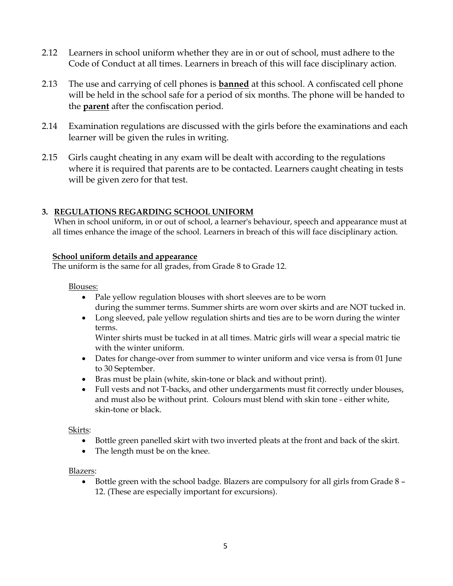- 2.12 Learners in school uniform whether they are in or out of school, must adhere to the Code of Conduct at all times. Learners in breach of this will face disciplinary action.
- 2.13 The use and carrying of cell phones is **banned** at this school. A confiscated cell phone will be held in the school safe for a period of six months. The phone will be handed to the **parent** after the confiscation period.
- 2.14 Examination regulations are discussed with the girls before the examinations and each learner will be given the rules in writing.
- 2.15 Girls caught cheating in any exam will be dealt with according to the regulations where it is required that parents are to be contacted. Learners caught cheating in tests will be given zero for that test.

### **3. REGULATIONS REGARDING SCHOOL UNIFORM**

 When in school uniform, in or out of school, a learner's behaviour, speech and appearance must at all times enhance the image of the school. Learners in breach of this will face disciplinary action.

#### **School uniform details and appearance**

The uniform is the same for all grades, from Grade 8 to Grade 12.

#### Blouses:

- Pale yellow regulation blouses with short sleeves are to be worn during the summer terms. Summer shirts are worn over skirts and are NOT tucked in.
- Long sleeved, pale yellow regulation shirts and ties are to be worn during the winter terms.

Winter shirts must be tucked in at all times. Matric girls will wear a special matric tie with the winter uniform.

- Dates for change-over from summer to winter uniform and vice versa is from 01 June to 30 September.
- Bras must be plain (white, skin-tone or black and without print).
- Full vests and not T-backs, and other undergarments must fit correctly under blouses, and must also be without print. Colours must blend with skin tone - either white, skin-tone or black.

#### Skirts:

- Bottle green panelled skirt with two inverted pleats at the front and back of the skirt.
- The length must be on the knee.

#### Blazers:

• Bottle green with the school badge. Blazers are compulsory for all girls from Grade 8 -12. (These are especially important for excursions).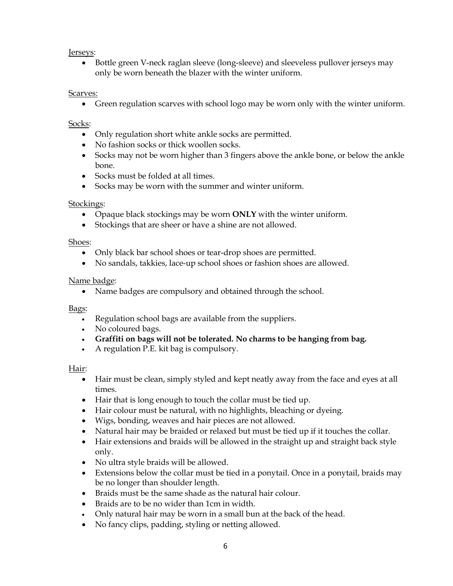#### Jerseys:

 Bottle green V-neck raglan sleeve (long-sleeve) and sleeveless pullover jerseys may only be worn beneath the blazer with the winter uniform.

#### Scarves:

Green regulation scarves with school logo may be worn only with the winter uniform.

#### Socks:

- Only regulation short white ankle socks are permitted.
- No fashion socks or thick woollen socks.
- Socks may not be worn higher than 3 fingers above the ankle bone, or below the ankle bone.
- Socks must be folded at all times.
- Socks may be worn with the summer and winter uniform.

#### Stockings:

- Opaque black stockings may be worn **ONLY** with the winter uniform.
- Stockings that are sheer or have a shine are not allowed.

#### Shoes:

- Only black bar school shoes or tear-drop shoes are permitted.
- No sandals, takkies, lace-up school shoes or fashion shoes are allowed.

#### Name badge:

• Name badges are compulsory and obtained through the school.

#### Bags:

- Regulation school bags are available from the suppliers.
- No coloured bags.
- **Graffiti on bags will not be tolerated. No charms to be hanging from bag.**
- A regulation P.E. kit bag is compulsory.

#### Hair:

- Hair must be clean, simply styled and kept neatly away from the face and eyes at all times.
- Hair that is long enough to touch the collar must be tied up.
- Hair colour must be natural, with no highlights, bleaching or dyeing.
- Wigs, bonding, weaves and hair pieces are not allowed.
- Natural hair may be braided or relaxed but must be tied up if it touches the collar.
- Hair extensions and braids will be allowed in the straight up and straight back style only.
- No ultra style braids will be allowed.
- Extensions below the collar must be tied in a ponytail. Once in a ponytail, braids may be no longer than shoulder length.
- Braids must be the same shade as the natural hair colour.
- Braids are to be no wider than 1cm in width.
- Only natural hair may be worn in a small bun at the back of the head.
- No fancy clips, padding, styling or netting allowed.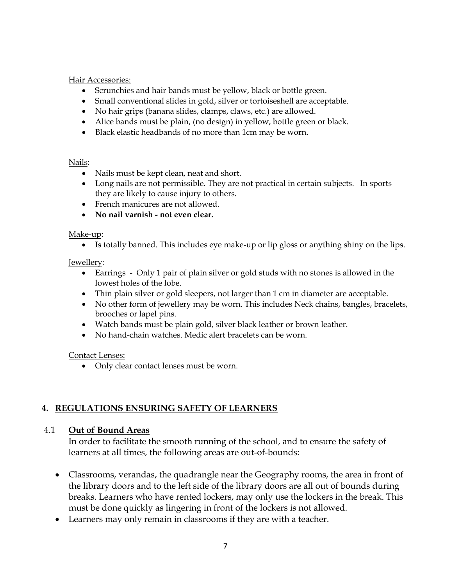Hair Accessories:

- Scrunchies and hair bands must be yellow, black or bottle green.
- Small conventional slides in gold, silver or tortoiseshell are acceptable.
- No hair grips (banana slides, clamps, claws, etc.) are allowed.
- Alice bands must be plain, (no design) in yellow, bottle green or black.
- Black elastic headbands of no more than 1cm may be worn.

#### Nails:

- Nails must be kept clean, neat and short.
- Long nails are not permissible. They are not practical in certain subjects. In sports they are likely to cause injury to others.
- French manicures are not allowed.
- **No nail varnish - not even clear.**

#### Make-up:

Is totally banned. This includes eye make-up or lip gloss or anything shiny on the lips.

### Jewellery:

- Earrings Only 1 pair of plain silver or gold studs with no stones is allowed in the lowest holes of the lobe.
- Thin plain silver or gold sleepers, not larger than 1 cm in diameter are acceptable.
- No other form of jewellery may be worn. This includes Neck chains, bangles, bracelets, brooches or lapel pins.
- Watch bands must be plain gold, silver black leather or brown leather.
- No hand-chain watches. Medic alert bracelets can be worn.

### Contact Lenses:

Only clear contact lenses must be worn.

### **4. REGULATIONS ENSURING SAFETY OF LEARNERS**

### 4.1 **Out of Bound Areas**

In order to facilitate the smooth running of the school, and to ensure the safety of learners at all times, the following areas are out-of-bounds:

- Classrooms, verandas, the quadrangle near the Geography rooms, the area in front of the library doors and to the left side of the library doors are all out of bounds during breaks. Learners who have rented lockers, may only use the lockers in the break. This must be done quickly as lingering in front of the lockers is not allowed.
- Learners may only remain in classrooms if they are with a teacher.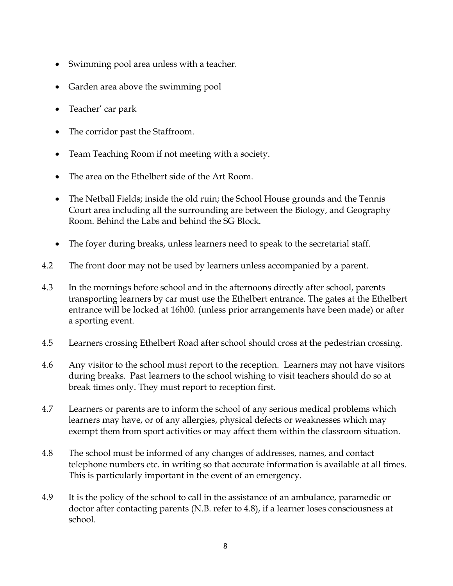- Swimming pool area unless with a teacher.
- Garden area above the swimming pool
- Teacher' car park
- The corridor past the Staffroom.
- Team Teaching Room if not meeting with a society.
- The area on the Ethelbert side of the Art Room.
- The Netball Fields; inside the old ruin; the School House grounds and the Tennis Court area including all the surrounding are between the Biology, and Geography Room. Behind the Labs and behind the SG Block.
- The foyer during breaks, unless learners need to speak to the secretarial staff.
- 4.2 The front door may not be used by learners unless accompanied by a parent.
- 4.3 In the mornings before school and in the afternoons directly after school, parents transporting learners by car must use the Ethelbert entrance. The gates at the Ethelbert entrance will be locked at 16h00. (unless prior arrangements have been made) or after a sporting event.
- 4.5 Learners crossing Ethelbert Road after school should cross at the pedestrian crossing.
- 4.6 Any visitor to the school must report to the reception. Learners may not have visitors during breaks. Past learners to the school wishing to visit teachers should do so at break times only. They must report to reception first.
- 4.7 Learners or parents are to inform the school of any serious medical problems which learners may have, or of any allergies, physical defects or weaknesses which may exempt them from sport activities or may affect them within the classroom situation.
- 4.8 The school must be informed of any changes of addresses, names, and contact telephone numbers etc. in writing so that accurate information is available at all times. This is particularly important in the event of an emergency.
- 4.9 It is the policy of the school to call in the assistance of an ambulance, paramedic or doctor after contacting parents (N.B. refer to 4.8), if a learner loses consciousness at school.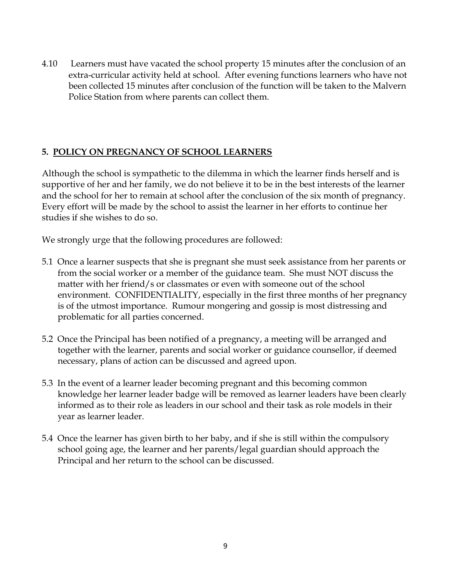4.10 Learners must have vacated the school property 15 minutes after the conclusion of an extra-curricular activity held at school. After evening functions learners who have not been collected 15 minutes after conclusion of the function will be taken to the Malvern Police Station from where parents can collect them.

## **5. POLICY ON PREGNANCY OF SCHOOL LEARNERS**

Although the school is sympathetic to the dilemma in which the learner finds herself and is supportive of her and her family, we do not believe it to be in the best interests of the learner and the school for her to remain at school after the conclusion of the six month of pregnancy. Every effort will be made by the school to assist the learner in her efforts to continue her studies if she wishes to do so.

We strongly urge that the following procedures are followed:

- 5.1 Once a learner suspects that she is pregnant she must seek assistance from her parents or from the social worker or a member of the guidance team. She must NOT discuss the matter with her friend/s or classmates or even with someone out of the school environment. CONFIDENTIALITY, especially in the first three months of her pregnancy is of the utmost importance. Rumour mongering and gossip is most distressing and problematic for all parties concerned.
- 5.2 Once the Principal has been notified of a pregnancy, a meeting will be arranged and together with the learner, parents and social worker or guidance counsellor, if deemed necessary, plans of action can be discussed and agreed upon.
- 5.3 In the event of a learner leader becoming pregnant and this becoming common knowledge her learner leader badge will be removed as learner leaders have been clearly informed as to their role as leaders in our school and their task as role models in their year as learner leader.
- 5.4 Once the learner has given birth to her baby, and if she is still within the compulsory school going age, the learner and her parents/legal guardian should approach the Principal and her return to the school can be discussed.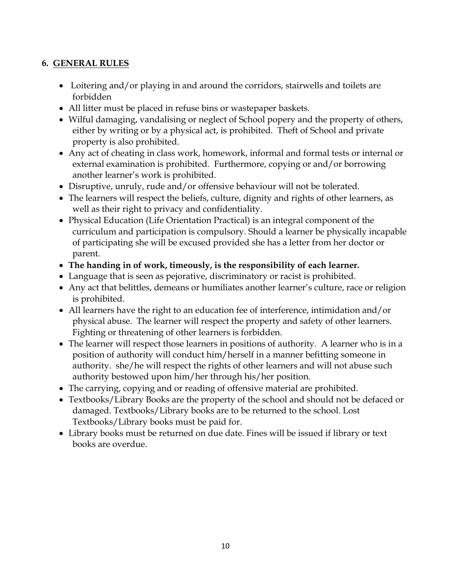# **6. GENERAL RULES**

- Loitering and/or playing in and around the corridors, stairwells and toilets are forbidden
- All litter must be placed in refuse bins or wastepaper baskets.
- Wilful damaging, vandalising or neglect of School popery and the property of others, either by writing or by a physical act, is prohibited. Theft of School and private property is also prohibited.
- Any act of cheating in class work, homework, informal and formal tests or internal or external examination is prohibited. Furthermore, copying or and/or borrowing another learner's work is prohibited.
- Disruptive, unruly, rude and/or offensive behaviour will not be tolerated.
- The learners will respect the beliefs, culture, dignity and rights of other learners, as well as their right to privacy and confidentiality.
- Physical Education (Life Orientation Practical) is an integral component of the curriculum and participation is compulsory. Should a learner be physically incapable of participating she will be excused provided she has a letter from her doctor or parent.
- **The handing in of work, timeously, is the responsibility of each learner.**
- Language that is seen as pejorative, discriminatory or racist is prohibited.
- Any act that belittles, demeans or humiliates another learner's culture, race or religion is prohibited.
- All learners have the right to an education fee of interference, intimidation and/or physical abuse. The learner will respect the property and safety of other learners. Fighting or threatening of other learners is forbidden.
- The learner will respect those learners in positions of authority. A learner who is in a position of authority will conduct him/herself in a manner befitting someone in authority. she/he will respect the rights of other learners and will not abuse such authority bestowed upon him/her through his/her position.
- The carrying, copying and or reading of offensive material are prohibited.
- Textbooks/Library Books are the property of the school and should not be defaced or damaged. Textbooks/Library books are to be returned to the school. Lost Textbooks/Library books must be paid for.
- Library books must be returned on due date. Fines will be issued if library or text books are overdue.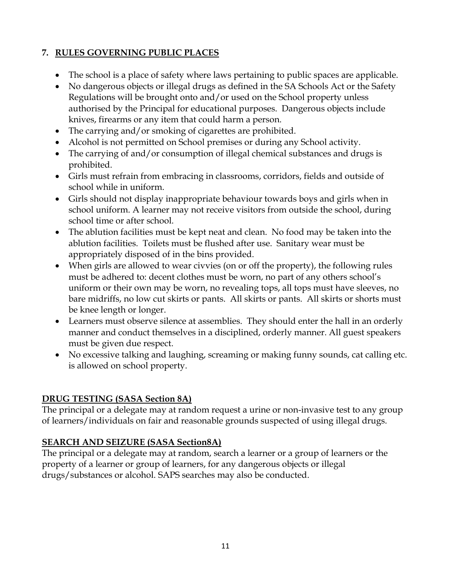# **7. RULES GOVERNING PUBLIC PLACES**

- The school is a place of safety where laws pertaining to public spaces are applicable.
- No dangerous objects or illegal drugs as defined in the SA Schools Act or the Safety Regulations will be brought onto and/or used on the School property unless authorised by the Principal for educational purposes. Dangerous objects include knives, firearms or any item that could harm a person.
- The carrying and/or smoking of cigarettes are prohibited.
- Alcohol is not permitted on School premises or during any School activity.
- The carrying of and/or consumption of illegal chemical substances and drugs is prohibited.
- Girls must refrain from embracing in classrooms, corridors, fields and outside of school while in uniform.
- Girls should not display inappropriate behaviour towards boys and girls when in school uniform. A learner may not receive visitors from outside the school, during school time or after school.
- The ablution facilities must be kept neat and clean. No food may be taken into the ablution facilities. Toilets must be flushed after use. Sanitary wear must be appropriately disposed of in the bins provided.
- When girls are allowed to wear civvies (on or off the property), the following rules must be adhered to: decent clothes must be worn, no part of any others school's uniform or their own may be worn, no revealing tops, all tops must have sleeves, no bare midriffs, no low cut skirts or pants. All skirts or pants. All skirts or shorts must be knee length or longer.
- Learners must observe silence at assemblies. They should enter the hall in an orderly manner and conduct themselves in a disciplined, orderly manner. All guest speakers must be given due respect.
- No excessive talking and laughing, screaming or making funny sounds, cat calling etc. is allowed on school property.

# **DRUG TESTING (SASA Section 8A)**

The principal or a delegate may at random request a urine or non-invasive test to any group of learners/individuals on fair and reasonable grounds suspected of using illegal drugs.

# **SEARCH AND SEIZURE (SASA Section8A)**

The principal or a delegate may at random, search a learner or a group of learners or the property of a learner or group of learners, for any dangerous objects or illegal drugs/substances or alcohol. SAPS searches may also be conducted.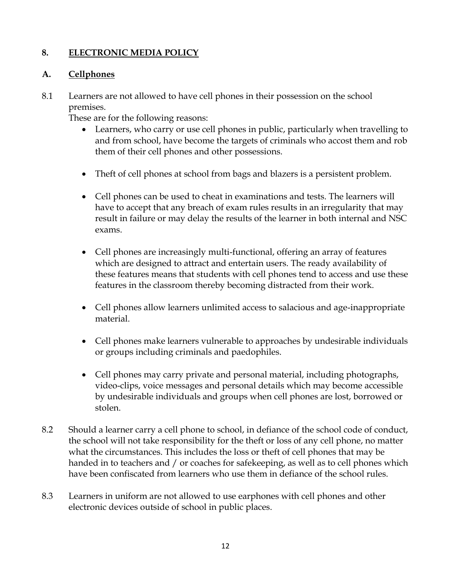# **8. ELECTRONIC MEDIA POLICY**

### **A. Cellphones**

8.1 Learners are not allowed to have cell phones in their possession on the school premises.

These are for the following reasons:

- Learners, who carry or use cell phones in public, particularly when travelling to and from school, have become the targets of criminals who accost them and rob them of their cell phones and other possessions.
- Theft of cell phones at school from bags and blazers is a persistent problem.
- Cell phones can be used to cheat in examinations and tests. The learners will have to accept that any breach of exam rules results in an irregularity that may result in failure or may delay the results of the learner in both internal and NSC exams.
- Cell phones are increasingly multi-functional, offering an array of features which are designed to attract and entertain users. The ready availability of these features means that students with cell phones tend to access and use these features in the classroom thereby becoming distracted from their work.
- Cell phones allow learners unlimited access to salacious and age-inappropriate material.
- Cell phones make learners vulnerable to approaches by undesirable individuals or groups including criminals and paedophiles.
- Cell phones may carry private and personal material, including photographs, video-clips, voice messages and personal details which may become accessible by undesirable individuals and groups when cell phones are lost, borrowed or stolen.
- 8.2 Should a learner carry a cell phone to school, in defiance of the school code of conduct, the school will not take responsibility for the theft or loss of any cell phone, no matter what the circumstances. This includes the loss or theft of cell phones that may be handed in to teachers and / or coaches for safekeeping, as well as to cell phones which have been confiscated from learners who use them in defiance of the school rules.
- 8.3 Learners in uniform are not allowed to use earphones with cell phones and other electronic devices outside of school in public places.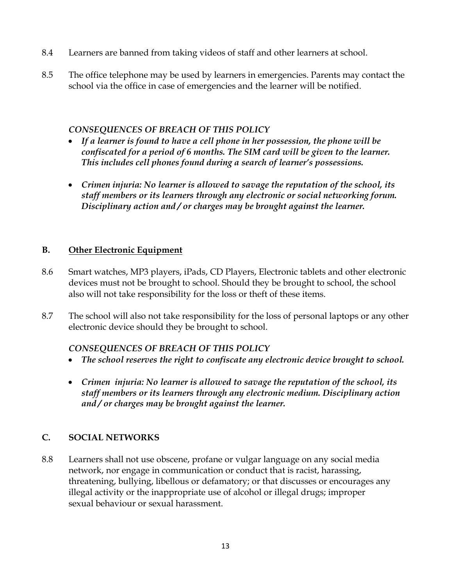- 8.4 Learners are banned from taking videos of staff and other learners at school.
- 8.5 The office telephone may be used by learners in emergencies. Parents may contact the school via the office in case of emergencies and the learner will be notified.

### *CONSEQUENCES OF BREACH OF THIS POLICY*

- *If a learner is found to have a cell phone in her possession, the phone will be confiscated for a period of 6 months. The SIM card will be given to the learner. This includes cell phones found during a search of learner's possessions.*
- *Crimen injuria: No learner is allowed to savage the reputation of the school, its staff members or its learners through any electronic or social networking forum. Disciplinary action and / or charges may be brought against the learner.*

### **B. Other Electronic Equipment**

- 8.6 Smart watches, MP3 players, iPads, CD Players, Electronic tablets and other electronic devices must not be brought to school. Should they be brought to school, the school also will not take responsibility for the loss or theft of these items.
- 8.7 The school will also not take responsibility for the loss of personal laptops or any other electronic device should they be brought to school.

### *CONSEQUENCES OF BREACH OF THIS POLICY*

- *The school reserves the right to confiscate any electronic device brought to school.*
- *Crimen injuria: No learner is allowed to savage the reputation of the school, its staff members or its learners through any electronic medium. Disciplinary action and / or charges may be brought against the learner.*

## **C. SOCIAL NETWORKS**

8.8 Learners shall not use obscene, profane or vulgar language on any social media network, nor engage in communication or conduct that is racist, harassing, threatening, bullying, libellous or defamatory; or that discusses or encourages any illegal activity or the inappropriate use of alcohol or illegal drugs; improper sexual behaviour or sexual harassment.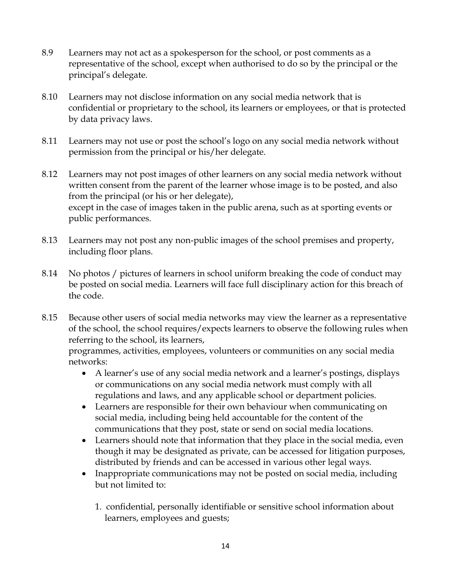- 8.9 Learners may not act as a spokesperson for the school, or post comments as a representative of the school, except when authorised to do so by the principal or the principal's delegate.
- 8.10 Learners may not disclose information on any social media network that is confidential or proprietary to the school, its learners or employees, or that is protected by data privacy laws.
- 8.11 Learners may not use or post the school's logo on any social media network without permission from the principal or his/her delegate.
- 8.12 Learners may not post images of other learners on any social media network without written consent from the parent of the learner whose image is to be posted, and also from the principal (or his or her delegate), except in the case of images taken in the public arena, such as at sporting events or public performances.
- 8.13 Learners may not post any non-public images of the school premises and property, including floor plans.
- 8.14 No photos / pictures of learners in school uniform breaking the code of conduct may be posted on social media. Learners will face full disciplinary action for this breach of the code.

8.15 Because other users of social media networks may view the learner as a representative of the school, the school requires/expects learners to observe the following rules when referring to the school, its learners,

programmes, activities, employees, volunteers or communities on any social media networks:

- A learner's use of any social media network and a learner's postings, displays or communications on any social media network must comply with all regulations and laws, and any applicable school or department policies.
- Learners are responsible for their own behaviour when communicating on social media, including being held accountable for the content of the communications that they post, state or send on social media locations.
- Learners should note that information that they place in the social media, even though it may be designated as private, can be accessed for litigation purposes, distributed by friends and can be accessed in various other legal ways.
- Inappropriate communications may not be posted on social media, including but not limited to:
	- 1. confidential, personally identifiable or sensitive school information about learners, employees and guests;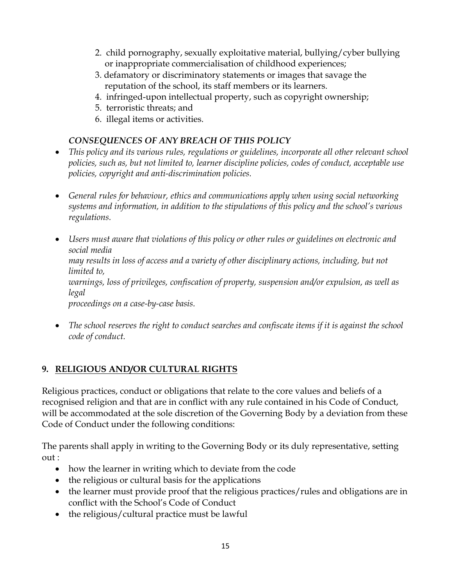- 2. child pornography, sexually exploitative material, bullying/cyber bullying or inappropriate commercialisation of childhood experiences;
- 3. defamatory or discriminatory statements or images that savage the reputation of the school, its staff members or its learners.
- 4. infringed-upon intellectual property, such as copyright ownership;
- 5. terroristic threats; and
- 6. illegal items or activities.

# *CONSEQUENCES OF ANY BREACH OF THIS POLICY*

- *This policy and its various rules, regulations or guidelines, incorporate all other relevant school policies, such as, but not limited to, learner discipline policies, codes of conduct, acceptable use policies, copyright and anti-discrimination policies.*
- *General rules for behaviour, ethics and communications apply when using social networking systems and information, in addition to the stipulations of this policy and the school's various regulations.*
- *Users must aware that violations of this policy or other rules or guidelines on electronic and social media may results in loss of access and a variety of other disciplinary actions, including, but not limited to, warnings, loss of privileges, confiscation of property, suspension and/or expulsion, as well as legal proceedings on a case-by-case basis.*
- *The school reserves the right to conduct searches and confiscate items if it is against the school code of conduct.*

# **9. RELIGIOUS AND/OR CULTURAL RIGHTS**

Religious practices, conduct or obligations that relate to the core values and beliefs of a recognised religion and that are in conflict with any rule contained in his Code of Conduct, will be accommodated at the sole discretion of the Governing Body by a deviation from these Code of Conduct under the following conditions:

The parents shall apply in writing to the Governing Body or its duly representative, setting  $out \cdot$ 

- how the learner in writing which to deviate from the code
- the religious or cultural basis for the applications
- the learner must provide proof that the religious practices/rules and obligations are in conflict with the School's Code of Conduct
- the religious/cultural practice must be lawful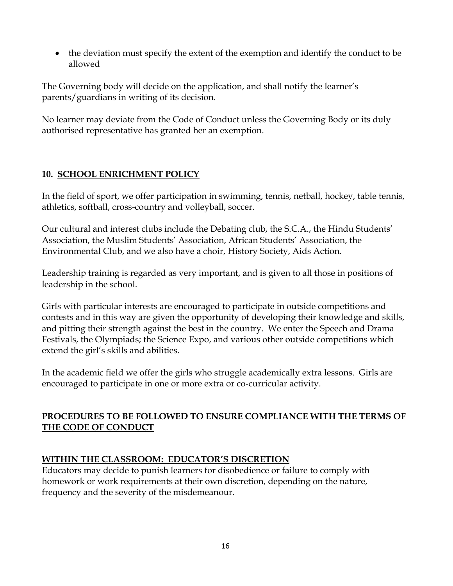• the deviation must specify the extent of the exemption and identify the conduct to be allowed

The Governing body will decide on the application, and shall notify the learner's parents/guardians in writing of its decision.

No learner may deviate from the Code of Conduct unless the Governing Body or its duly authorised representative has granted her an exemption.

# **10. SCHOOL ENRICHMENT POLICY**

In the field of sport, we offer participation in swimming, tennis, netball, hockey, table tennis, athletics, softball, cross-country and volleyball, soccer.

Our cultural and interest clubs include the Debating club, the S.C.A., the Hindu Students' Association, the Muslim Students' Association, African Students' Association, the Environmental Club, and we also have a choir, History Society, Aids Action.

Leadership training is regarded as very important, and is given to all those in positions of leadership in the school.

Girls with particular interests are encouraged to participate in outside competitions and contests and in this way are given the opportunity of developing their knowledge and skills, and pitting their strength against the best in the country. We enter the Speech and Drama Festivals, the Olympiads; the Science Expo, and various other outside competitions which extend the girl's skills and abilities.

In the academic field we offer the girls who struggle academically extra lessons. Girls are encouraged to participate in one or more extra or co-curricular activity.

# **PROCEDURES TO BE FOLLOWED TO ENSURE COMPLIANCE WITH THE TERMS OF THE CODE OF CONDUCT**

# **WITHIN THE CLASSROOM: EDUCATOR'S DISCRETION**

Educators may decide to punish learners for disobedience or failure to comply with homework or work requirements at their own discretion, depending on the nature, frequency and the severity of the misdemeanour.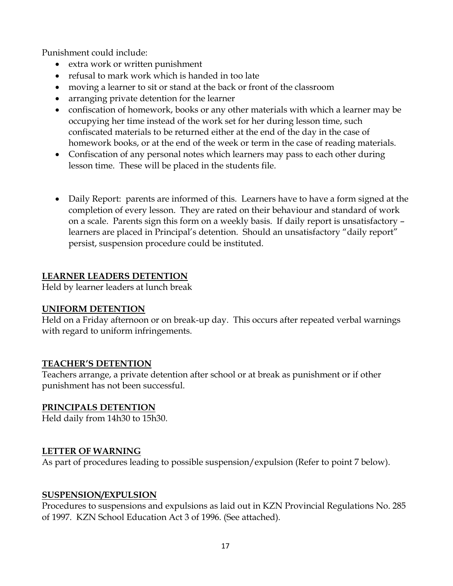Punishment could include:

- extra work or written punishment
- refusal to mark work which is handed in too late
- moving a learner to sit or stand at the back or front of the classroom
- arranging private detention for the learner
- confiscation of homework, books or any other materials with which a learner may be occupying her time instead of the work set for her during lesson time, such confiscated materials to be returned either at the end of the day in the case of homework books, or at the end of the week or term in the case of reading materials.
- Confiscation of any personal notes which learners may pass to each other during lesson time. These will be placed in the students file.
- Daily Report: parents are informed of this. Learners have to have a form signed at the completion of every lesson. They are rated on their behaviour and standard of work on a scale. Parents sign this form on a weekly basis. If daily report is unsatisfactory – learners are placed in Principal's detention. Should an unsatisfactory "daily report" persist, suspension procedure could be instituted.

### **LEARNER LEADERS DETENTION**

Held by learner leaders at lunch break

### **UNIFORM DETENTION**

Held on a Friday afternoon or on break-up day. This occurs after repeated verbal warnings with regard to uniform infringements.

### **TEACHER'S DETENTION**

Teachers arrange, a private detention after school or at break as punishment or if other punishment has not been successful.

### **PRINCIPALS DETENTION**

Held daily from 14h30 to 15h30.

### **LETTER OF WARNING**

As part of procedures leading to possible suspension/expulsion (Refer to point 7 below).

### **SUSPENSION/EXPULSION**

Procedures to suspensions and expulsions as laid out in KZN Provincial Regulations No. 285 of 1997. KZN School Education Act 3 of 1996. (See attached).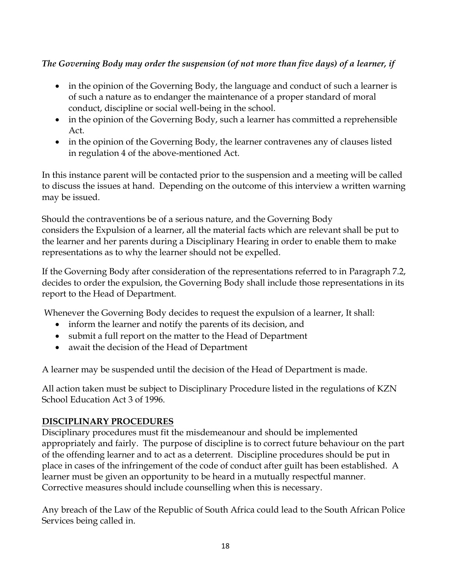# *The Governing Body may order the suspension (of not more than five days) of a learner, if*

- in the opinion of the Governing Body, the language and conduct of such a learner is of such a nature as to endanger the maintenance of a proper standard of moral conduct, discipline or social well-being in the school.
- in the opinion of the Governing Body, such a learner has committed a reprehensible Act.
- in the opinion of the Governing Body, the learner contravenes any of clauses listed in regulation 4 of the above-mentioned Act.

In this instance parent will be contacted prior to the suspension and a meeting will be called to discuss the issues at hand. Depending on the outcome of this interview a written warning may be issued.

Should the contraventions be of a serious nature, and the Governing Body considers the Expulsion of a learner, all the material facts which are relevant shall be put to the learner and her parents during a Disciplinary Hearing in order to enable them to make representations as to why the learner should not be expelled.

If the Governing Body after consideration of the representations referred to in Paragraph 7.2, decides to order the expulsion, the Governing Body shall include those representations in its report to the Head of Department.

Whenever the Governing Body decides to request the expulsion of a learner, It shall:

- inform the learner and notify the parents of its decision, and
- submit a full report on the matter to the Head of Department
- await the decision of the Head of Department

A learner may be suspended until the decision of the Head of Department is made.

All action taken must be subject to Disciplinary Procedure listed in the regulations of KZN School Education Act 3 of 1996.

# **DISCIPLINARY PROCEDURES**

Disciplinary procedures must fit the misdemeanour and should be implemented appropriately and fairly. The purpose of discipline is to correct future behaviour on the part of the offending learner and to act as a deterrent. Discipline procedures should be put in place in cases of the infringement of the code of conduct after guilt has been established. A learner must be given an opportunity to be heard in a mutually respectful manner. Corrective measures should include counselling when this is necessary.

Any breach of the Law of the Republic of South Africa could lead to the South African Police Services being called in.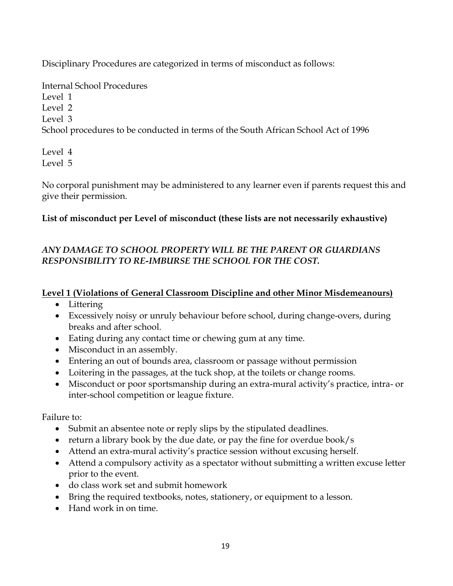Disciplinary Procedures are categorized in terms of misconduct as follows:

Internal School Procedures Level 1 Level 2 Level 3 School procedures to be conducted in terms of the South African School Act of 1996

Level 4 Level 5

No corporal punishment may be administered to any learner even if parents request this and give their permission.

# **List of misconduct per Level of misconduct (these lists are not necessarily exhaustive)**

# *ANY DAMAGE TO SCHOOL PROPERTY WILL BE THE PARENT OR GUARDIANS RESPONSIBILITY TO RE-IMBURSE THE SCHOOL FOR THE COST.*

# **Level 1 (Violations of General Classroom Discipline and other Minor Misdemeanours)**

- Littering
- Excessively noisy or unruly behaviour before school, during change-overs, during breaks and after school.
- Eating during any contact time or chewing gum at any time.
- Misconduct in an assembly.
- Entering an out of bounds area, classroom or passage without permission
- Loitering in the passages, at the tuck shop, at the toilets or change rooms.
- Misconduct or poor sportsmanship during an extra-mural activity's practice, intra- or inter-school competition or league fixture.

Failure to:

- Submit an absentee note or reply slips by the stipulated deadlines.
- return a library book by the due date, or pay the fine for overdue book/s
- Attend an extra-mural activity's practice session without excusing herself.
- Attend a compulsory activity as a spectator without submitting a written excuse letter prior to the event.
- do class work set and submit homework
- Bring the required textbooks, notes, stationery, or equipment to a lesson.
- Hand work in on time.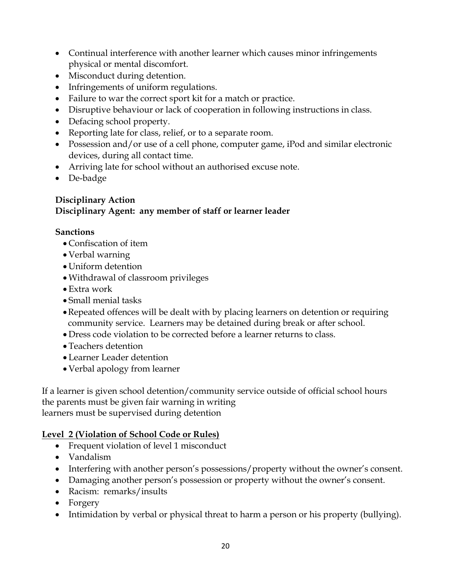- Continual interference with another learner which causes minor infringements physical or mental discomfort.
- Misconduct during detention.
- Infringements of uniform regulations.
- Failure to war the correct sport kit for a match or practice.
- Disruptive behaviour or lack of cooperation in following instructions in class.
- Defacing school property.
- Reporting late for class, relief, or to a separate room.
- Possession and/or use of a cell phone, computer game, iPod and similar electronic devices, during all contact time.
- Arriving late for school without an authorised excuse note.
- De-badge

## **Disciplinary Action Disciplinary Agent: any member of staff or learner leader**

# **Sanctions**

- Confiscation of item
- Verbal warning
- Uniform detention
- Withdrawal of classroom privileges
- Extra work
- Small menial tasks
- Repeated offences will be dealt with by placing learners on detention or requiring community service. Learners may be detained during break or after school.
- Dress code violation to be corrected before a learner returns to class.
- Teachers detention
- Learner Leader detention
- Verbal apology from learner

If a learner is given school detention/community service outside of official school hours the parents must be given fair warning in writing learners must be supervised during detention

# **Level 2 (Violation of School Code or Rules)**

- Frequent violation of level 1 misconduct
- Vandalism
- Interfering with another person's possessions/property without the owner's consent.
- Damaging another person's possession or property without the owner's consent.
- Racism: remarks/insults
- Forgery
- Intimidation by verbal or physical threat to harm a person or his property (bullying).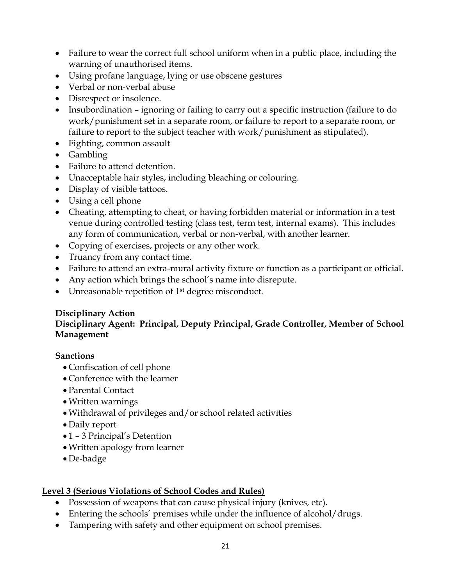- Failure to wear the correct full school uniform when in a public place, including the warning of unauthorised items.
- Using profane language, lying or use obscene gestures
- Verbal or non-verbal abuse
- Disrespect or insolence.
- Insubordination ignoring or failing to carry out a specific instruction (failure to do work/punishment set in a separate room, or failure to report to a separate room, or failure to report to the subject teacher with work/punishment as stipulated).
- Fighting, common assault
- Gambling
- Failure to attend detention.
- Unacceptable hair styles, including bleaching or colouring.
- Display of visible tattoos.
- Using a cell phone
- Cheating, attempting to cheat, or having forbidden material or information in a test venue during controlled testing (class test, term test, internal exams). This includes any form of communication, verbal or non-verbal, with another learner.
- Copying of exercises, projects or any other work.
- Truancy from any contact time.
- Failure to attend an extra-mural activity fixture or function as a participant or official.
- Any action which brings the school's name into disrepute.
- Unreasonable repetition of 1<sup>st</sup> degree misconduct.

### **Disciplinary Action**

## **Disciplinary Agent: Principal, Deputy Principal, Grade Controller, Member of School Management**

### **Sanctions**

- Confiscation of cell phone
- Conference with the learner
- Parental Contact
- Written warnings
- Withdrawal of privileges and/or school related activities
- Daily report
- 1 3 Principal's Detention
- Written apology from learner
- De-badge

### **Level 3 (Serious Violations of School Codes and Rules)**

- Possession of weapons that can cause physical injury (knives, etc).
- Entering the schools' premises while under the influence of alcohol/drugs.
- Tampering with safety and other equipment on school premises.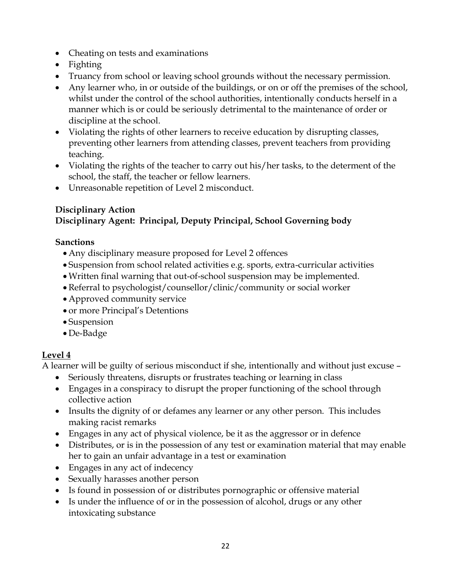- Cheating on tests and examinations
- Fighting
- Truancy from school or leaving school grounds without the necessary permission.
- Any learner who, in or outside of the buildings, or on or off the premises of the school, whilst under the control of the school authorities, intentionally conducts herself in a manner which is or could be seriously detrimental to the maintenance of order or discipline at the school.
- Violating the rights of other learners to receive education by disrupting classes, preventing other learners from attending classes, prevent teachers from providing teaching.
- Violating the rights of the teacher to carry out his/her tasks, to the determent of the school, the staff, the teacher or fellow learners.
- Unreasonable repetition of Level 2 misconduct.

### **Disciplinary Action Disciplinary Agent: Principal, Deputy Principal, School Governing body**

## **Sanctions**

- Any disciplinary measure proposed for Level 2 offences
- Suspension from school related activities e.g. sports, extra-curricular activities
- Written final warning that out-of-school suspension may be implemented.
- Referral to psychologist/counsellor/clinic/community or social worker
- Approved community service
- or more Principal's Detentions
- Suspension
- De-Badge

# **Level 4**

A learner will be guilty of serious misconduct if she, intentionally and without just excuse –

- Seriously threatens, disrupts or frustrates teaching or learning in class
- Engages in a conspiracy to disrupt the proper functioning of the school through collective action
- Insults the dignity of or defames any learner or any other person. This includes making racist remarks
- Engages in any act of physical violence, be it as the aggressor or in defence
- Distributes, or is in the possession of any test or examination material that may enable her to gain an unfair advantage in a test or examination
- Engages in any act of indecency
- Sexually harasses another person
- Is found in possession of or distributes pornographic or offensive material
- Is under the influence of or in the possession of alcohol, drugs or any other intoxicating substance